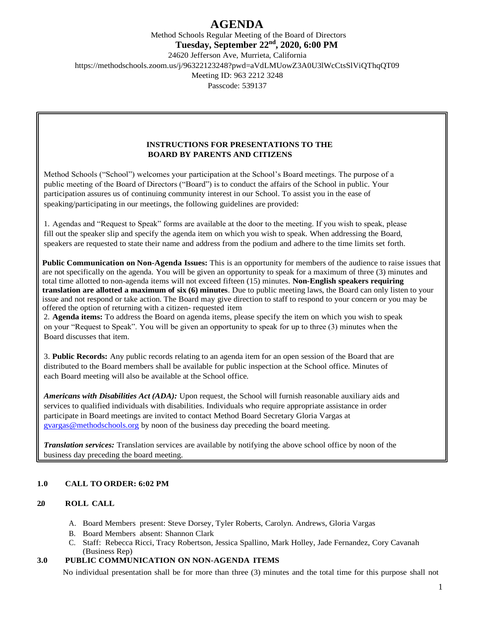Method Schools Regular Meeting of the Board of Directors **Tuesday, September 22nd, 2020, 6:00 PM** 24620 Jefferson Ave, Murrieta, California https://methodschools.zoom.us/j/96322123248?pwd=aVdLMUowZ3A0U3lWcCtsSlViQThqQT09 Meeting ID: 963 2212 3248 Passcode: 539137

## **INSTRUCTIONS FOR PRESENTATIONS TO THE BOARD BY PARENTS AND CITIZENS**

Method Schools ("School") welcomes your participation at the School's Board meetings. The purpose of a public meeting of the Board of Directors ("Board") is to conduct the affairs of the School in public. Your participation assures us of continuing community interest in our School. To assist you in the ease of speaking/participating in our meetings, the following guidelines are provided:

1. Agendas and "Request to Speak" forms are available at the door to the meeting. If you wish to speak, please fill out the speaker slip and specify the agenda item on which you wish to speak. When addressing the Board, speakers are requested to state their name and address from the podium and adhere to the time limits set forth.

**Public Communication on Non-Agenda Issues:** This is an opportunity for members of the audience to raise issues that are not specifically on the agenda. You will be given an opportunity to speak for a maximum of three (3) minutes and total time allotted to non-agenda items will not exceed fifteen (15) minutes. **Non-English speakers requiring translation are allotted a maximum of six (6) minutes**. Due to public meeting laws, the Board can only listen to your issue and not respond or take action. The Board may give direction to staff to respond to your concern or you may be offered the option of returning with a citizen- requested item

2. **Agenda items:** To address the Board on agenda items, please specify the item on which you wish to speak on your "Request to Speak". You will be given an opportunity to speak for up to three (3) minutes when the Board discusses that item.

3. **Public Records:** Any public records relating to an agenda item for an open session of the Board that are distributed to the Board members shall be available for public inspection at the School office. Minutes of each Board meeting will also be available at the School office.

*Americans with Disabilities Act (ADA):* Upon request, the School will furnish reasonable auxiliary aids and services to qualified individuals with disabilities. Individuals who require appropriate assistance in order participate in Board meetings are invited to contact Method Board Secretary Gloria Vargas at [gvargas@methodschools.org](mailto:gvargas@methodschools.org) by noon of the business day preceding the board meeting.

*Translation services:* Translation services are available by notifying the above school office by noon of the business day preceding the board meeting.

## **1.0 CALL TO ORDER: 6:02 PM**

## **2.0 ROLL CALL**

- A. Board Members present: Steve Dorsey, Tyler Roberts, Carolyn. Andrews, Gloria Vargas
- B. Board Members absent: Shannon Clark
- C. Staff: Rebecca Ricci, Tracy Robertson, Jessica Spallino, Mark Holley, Jade Fernandez, Cory Cavanah (Business Rep)

## **3.0 PUBLIC COMMUNICATION ON NON-AGENDA ITEMS**

No individual presentation shall be for more than three (3) minutes and the total time for this purpose shall not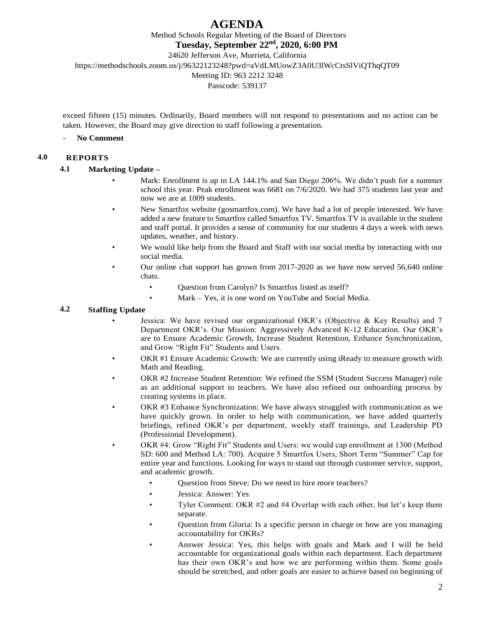Method Schools Regular Meeting of the Board of Directors

**Tuesday, September 22nd, 2020, 6:00 PM**

24620 Jefferson Ave, Murrieta, California

https://methodschools.zoom.us/j/96322123248?pwd=aVdLMUowZ3A0U3lWcCtsSlViQThqQT09

Meeting ID: 963 2212 3248

Passcode: 539137

exceed fifteen (15) minutes. Ordinarily, Board members will not respond to presentations and no action can be taken. However, the Board may give direction to staff following a presentation.

## - **No Comment**

## **4.0 REPORTS**

## **4.1 Marketing Update –**

- Mark: Enrollment is up in LA 144.1% and San Diego 206%. We didn't push for a summer school this year. Peak enrollment was 6681 on 7/6/2020. We had 375 students last year and now we are at 1009 students.
- New Smartfox website (gosmartfox.com). We have had a lot of people interested. We have added a new feature to Smartfox called Smartfox TV. Smartfox TV is available in the student and staff portal. It provides a sense of community for our students 4 days a week with news updates, weather, and history.
- We would like help from the Board and Staff with our social media by interacting with our social media.
- Our online chat support has grown from 2017-2020 as we have now served 56,640 online chats.
	- Question from Carolyn? Is Smartfox listed as itself?
	- Mark Yes, it is one word on YouTube and Social Media.

## **4.2 Staffing Update**

- Jessica: We have revised our organizational OKR's (Objective & Key Results) and 7 Department OKR's. Our Mission: Aggressively Advanced K-12 Education. Our OKR's are to Ensure Academic Growth, Increase Student Retention, Enhance Synchronization, and Grow "Right Fit" Students and Users.
- OKR #1 Ensure Academic Growth: We are currently using iReady to measure growth with Math and Reading.
- OKR #2 Increase Student Retention: We refined the SSM (Student Success Manager) role as an additional support to teachers. We have also refined our onboarding process by creating systems in place.
- OKR #3 Enhance Synchronization: We have always struggled with communication as we have quickly grown. In order to help with communication, we have added quarterly briefings, refined OKR's per department, weekly staff trainings, and Leadership PD (Professional Development).
- OKR #4: Grow "Right Fit" Students and Users: we would cap enrollment at 1300 (Method SD: 600 and Method LA: 700). Acquire 5 Smartfox Users, Short Term "Summer" Cap for entire year and functions. Looking for ways to stand out through customer service, support, and academic growth.
	- Question from Steve: Do we need to hire more teachers?
	- Jessica: Answer: Yes
	- Tyler Comment: OKR #2 and #4 Overlap with each other, but let's keep them separate.
	- Question from Gloria: Is a specific person in charge or how are you managing accountability for OKRs?
	- Answer Jessica: Yes, this helps with goals and Mark and I will be held accountable for organizational goals within each department. Each department has their own OKR's and how we are performing within them. Some goals should be stretched, and other goals are easier to achieve based on beginning of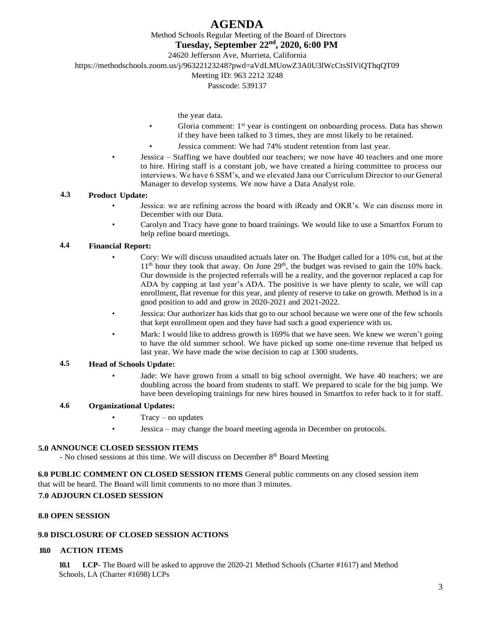Method Schools Regular Meeting of the Board of Directors

**Tuesday, September 22nd, 2020, 6:00 PM**

24620 Jefferson Ave, Murrieta, California

https://methodschools.zoom.us/j/96322123248?pwd=aVdLMUowZ3A0U3lWcCtsSlViQThqQT09

## Meeting ID: 963 2212 3248

Passcode: 539137

- the year data.
- Gloria comment:  $1<sup>st</sup>$  year is contingent on onboarding process. Data has shown if they have been talked to 3 times, they are most likely to be retained.
- Jessica comment: We had 74% student retention from last year.
- Jessica Staffing we have doubled our teachers; we now have 40 teachers and one more to hire. Hiring staff is a constant job, we have created a hiring committee to process our interviews. We have 6 SSM's, and we elevated Jana our Curriculum Director to our General Manager to develop systems. We now have a Data Analyst role.

## **4.3 Product Update:**

- Jessica: we are refining across the board with iReady and OKR's. We can discuss more in December with our Data.
- Carolyn and Tracy have gone to board trainings. We would like to use a Smartfox Forum to help refine board meetings.

## **4.4 Financial Report:**

- Cory: We will discuss unaudited actuals later on. The Budget called for a 10% cut, but at the  $11<sup>th</sup>$  hour they took that away. On June  $29<sup>th</sup>$ , the budget was revised to gain the 10% back. Our downside is the projected referrals will be a reality, and the governor replaced a cap for ADA by capping at last year's ADA. The positive is we have plenty to scale, we will cap enrollment, flat revenue for this year, and plenty of reserve to take on growth. Method is in a good position to add and grow in 2020-2021 and 2021-2022.
- Jessica: Our authorizer has kids that go to our school because we were one of the few schools that kept enrollment open and they have had such a good experience with us.
- Mark: I would like to address growth is 169% that we have seen. We knew we weren't going to have the old summer school. We have picked up some one-time revenue that helped us last year. We have made the wise decision to cap at 1300 students.

#### **4.5 Head of Schools Update:**

Jade: We have grown from a small to big school overnight. We have 40 teachers; we are doubling across the board from students to staff. We prepared to scale for the big jump. We have been developing trainings for new hires housed in Smartfox to refer back to it for staff.

#### **4.6 Organizational Updates:**

- $Tracy no$  updates
- Jessica may change the board meeting agenda in December on protocols.

#### **5.0 ANNOUNCE CLOSED SESSION ITEMS**

- No closed sessions at this time. We will discuss on December 8<sup>th</sup> Board Meeting

**6.0 PUBLIC COMMENT ON CLOSED SESSION ITEMS** General public comments on any closed session item that will be heard. The Board will limit comments to no more than 3 minutes.

## **7.0 ADJOURN CLOSED SESSION**

## **8.0 OPEN SESSION**

## **9.0 DISCLOSURE OF CLOSED SESSION ACTIONS**

## **10.0 ACTION ITEMS**

**10.1 LCP-** The Board will be asked to approve the 2020-21 Method Schools (Charter #1617) and Method Schools, LA (Charter #1698) LCPs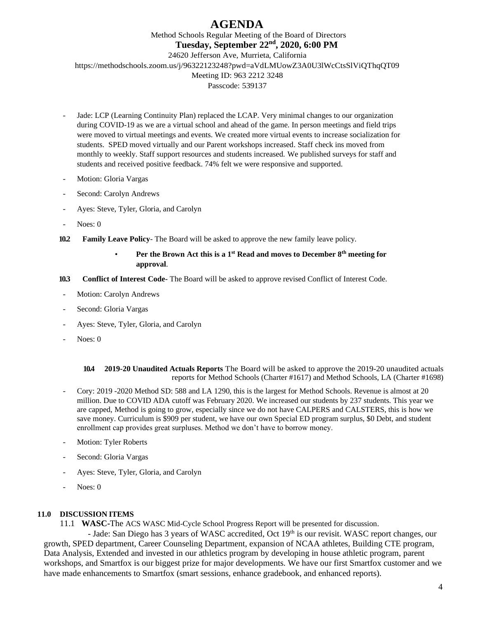Method Schools Regular Meeting of the Board of Directors **Tuesday, September 22nd, 2020, 6:00 PM** 24620 Jefferson Ave, Murrieta, California https://methodschools.zoom.us/j/96322123248?pwd=aVdLMUowZ3A0U3lWcCtsSlViQThqQT09 Meeting ID: 963 2212 3248 Passcode: 539137

- Jade: LCP (Learning Continuity Plan) replaced the LCAP. Very minimal changes to our organization during COVID-19 as we are a virtual school and ahead of the game. In person meetings and field trips were moved to virtual meetings and events. We created more virtual events to increase socialization for students. SPED moved virtually and our Parent workshops increased. Staff check ins moved from monthly to weekly. Staff support resources and students increased. We published surveys for staff and students and received positive feedback. 74% felt we were responsive and supported.
- Motion: Gloria Vargas
- Second: Carolyn Andrews
- Ayes: Steve, Tyler, Gloria, and Carolyn
- Noes: 0
- **10.2 Family Leave Policy** The Board will be asked to approve the new family leave policy.

## • **Per the Brown Act this is a 1st Read and moves to December 8th meeting for approval**.

- **10.3 Conflict of Interest Code-** The Board will be asked to approve revised Conflict of Interest Code.
- Motion: Carolyn Andrews
- Second: Gloria Vargas
- Ayes: Steve, Tyler, Gloria, and Carolyn
- Noes: 0

**10.4 2019-20 Unaudited Actuals Reports** The Board will be asked to approve the 2019-20 unaudited actuals reports for Method Schools (Charter #1617) and Method Schools, LA (Charter #1698)

- Cory: 2019 -2020 Method SD: 588 and LA 1290, this is the largest for Method Schools. Revenue is almost at 20 million. Due to COVID ADA cutoff was February 2020. We increased our students by 237 students. This year we are capped, Method is going to grow, especially since we do not have CALPERS and CALSTERS, this is how we save money. Curriculum is \$909 per student, we have our own Special ED program surplus, \$0 Debt, and student enrollment cap provides great surpluses. Method we don't have to borrow money.
- Motion: Tyler Roberts
- Second: Gloria Vargas
- Ayes: Steve, Tyler, Gloria, and Carolyn
- Noes: 0

## **11.0 DISCUSSION ITEMS**

11.1 **WASC-**The ACS WASC Mid-Cycle School Progress Report will be presented for discussion.

- Jade: San Diego has 3 years of WASC accredited, Oct 19th is our revisit. WASC report changes, our growth, SPED department, Career Counseling Department, expansion of NCAA athletes, Building CTE program, Data Analysis, Extended and invested in our athletics program by developing in house athletic program, parent workshops, and Smartfox is our biggest prize for major developments. We have our first Smartfox customer and we have made enhancements to Smartfox (smart sessions, enhance gradebook, and enhanced reports).